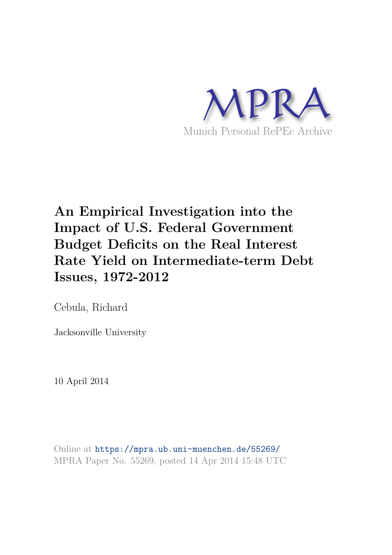

# **An Empirical Investigation into the Impact of U.S. Federal Government Budget Deficits on the Real Interest Rate Yield on Intermediate-term Debt Issues, 1972-2012**

Cebula, Richard

Jacksonville University

10 April 2014

Online at https://mpra.ub.uni-muenchen.de/55269/ MPRA Paper No. 55269, posted 14 Apr 2014 15:48 UTC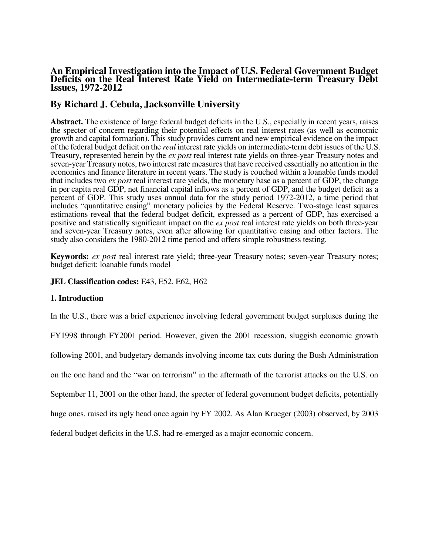# **An Empirical Investigation into the Impact of U.S. Federal Government Budget Deficits on the Real Interest Rate Yield on Intermediate-term Treasury Debt Issues, 1972-2012**

# **By Richard J. Cebula, Jacksonville University**

**Abstract.** The existence of large federal budget deficits in the U.S., especially in recent years, raises the specter of concern regarding their potential effects on real interest rates (as well as economic growth and capital formation). This study provides current and new empirical evidence on the impact of the federal budget deficit on the *real* interest rate yields on intermediate-term debt issues of the U.S. Treasury, represented herein by the *ex post* real interest rate yields on three-year Treasury notes and seven-year Treasury notes, two interest rate measures that have received essentially no attention in the economics and finance literature in recent years. The study is couched within a loanable funds model that includes two *ex post* real interest rate yields, the monetary base as a percent of GDP, the change in per capita real GDP, net financial capital inflows as a percent of GDP, and the budget deficit as a percent of GDP. This study uses annual data for the study period 1972-2012, a time period that includes "quantitative easing" monetary policies by the Federal Reserve. Two-stage least squares estimations reveal that the federal budget deficit, expressed as a percent of GDP, has exercised a positive and statistically significant impact on the *ex post* real interest rate yields on both three-year and seven-year Treasury notes, even after allowing for quantitative easing and other factors. The study also considers the 1980-2012 time period and offers simple robustness testing.

**Keywords:** *ex post* real interest rate yield; three-year Treasury notes; seven-year Treasury notes; budget deficit; loanable funds model

**JEL Classification codes:** E43, E52, E62, H62

# **1. Introduction**

In the U.S., there was a brief experience involving federal government budget surpluses during the

FY1998 through FY2001 period. However, given the 2001 recession, sluggish economic growth

following 2001, and budgetary demands involving income tax cuts during the Bush Administration

on the one hand and the "war on terrorism" in the aftermath of the terrorist attacks on the U.S. on

September 11, 2001 on the other hand, the specter of federal government budget deficits, potentially

huge ones, raised its ugly head once again by FY 2002. As Alan Krueger (2003) observed, by 2003

federal budget deficits in the U.S. had re-emerged as a major economic concern.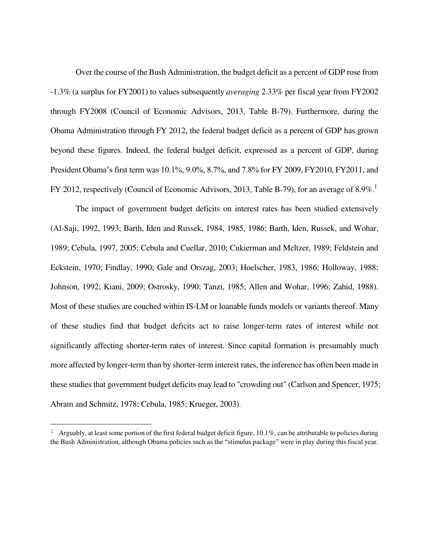Over the course of the Bush Administration, the budget deficit as a percent of GDP rose from -1.3% (a surplus for FY2001) to values subsequently *averaging* 2.33% per fiscal year from FY2002 through FY2008 (Council of Economic Advisors, 2013, Table B-79). Furthermore, during the Obama Administration through FY 2012, the federal budget deficit as a percent of GDP has grown beyond these figures. Indeed, the federal budget deficit, expressed as a percent of GDP, during President Obama's first term was 10.1%, 9.0%, 8.7%, and 7.8% for FY 2009, FY2010, FY2011, and FY 2012, respectively (Council of Economic Advisors, 2013, Table B-79), for an average of 8.9%.<sup>1</sup>

 The impact of government budget deficits on interest rates has been studied extensively (Al-Saji, 1992, 1993; Barth, Iden and Russek, 1984, 1985, 1986; Barth, Iden, Russek, and Wohar, 1989; Cebula, 1997, 2005; Cebula and Cuellar, 2010; Cukierman and Meltzer, 1989; Feldstein and Eckstein, 1970; Findlay, 1990; Gale and Orszag, 2003; Hoelscher, 1983, 1986; Holloway, 1988; Johnson, 1992; Kiani, 2009; Ostrosky, 1990; Tanzi, 1985; Allen and Wohar, 1996; Zahid, 1988). Most of these studies are couched within IS-LM or loanable funds models or variants thereof. Many of these studies find that budget deficits act to raise longer-term rates of interest while not significantly affecting shorter-term rates of interest. Since capital formation is presumably much more affected by longer-term than by shorter-term interest rates, the inference has often been made in these studies that government budget deficits may lead to "crowding out" (Carlson and Spencer, 1975; Abram and Schmitz, 1978; Cebula, 1985; Krueger, 2003).

 $\overline{\phantom{0}}$ 

<sup>&</sup>lt;sup>1</sup> Arguably, at least some portion of the first federal budget deficit figure, 10.1%, can be attributable to policies during the Bush Administration, although Obama policies such as the "stimulus package" were in play during this fiscal year.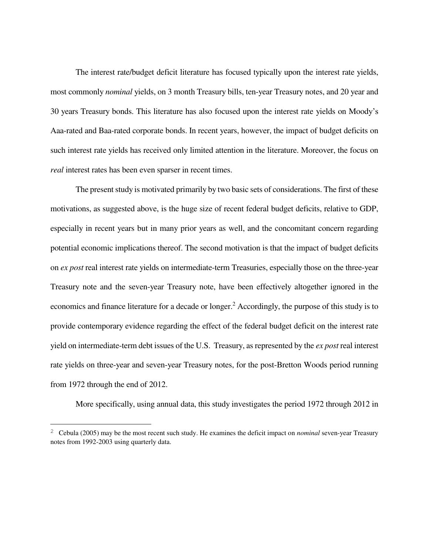The interest rate/budget deficit literature has focused typically upon the interest rate yields, most commonly *nominal* yields, on 3 month Treasury bills, ten-year Treasury notes, and 20 year and 30 years Treasury bonds. This literature has also focused upon the interest rate yields on Moody's Aaa-rated and Baa-rated corporate bonds. In recent years, however, the impact of budget deficits on such interest rate yields has received only limited attention in the literature. Moreover, the focus on *real* interest rates has been even sparser in recent times.

 The present study is motivated primarily by two basic sets of considerations. The first of these motivations, as suggested above, is the huge size of recent federal budget deficits, relative to GDP, especially in recent years but in many prior years as well, and the concomitant concern regarding potential economic implications thereof. The second motivation is that the impact of budget deficits on *ex post* real interest rate yields on intermediate-term Treasuries, especially those on the three-year Treasury note and the seven-year Treasury note, have been effectively altogether ignored in the economics and finance literature for a decade or longer.<sup>2</sup> Accordingly, the purpose of this study is to provide contemporary evidence regarding the effect of the federal budget deficit on the interest rate yield on intermediate-term debt issues of the U.S. Treasury, as represented by the *ex post* real interest rate yields on three-year and seven-year Treasury notes, for the post-Bretton Woods period running from 1972 through the end of 2012.

More specifically, using annual data, this study investigates the period 1972 through 2012 in

 $\overline{\phantom{0}}$ 

<sup>2</sup> Cebula (2005) may be the most recent such study. He examines the deficit impact on *nominal* seven-year Treasury notes from 1992-2003 using quarterly data.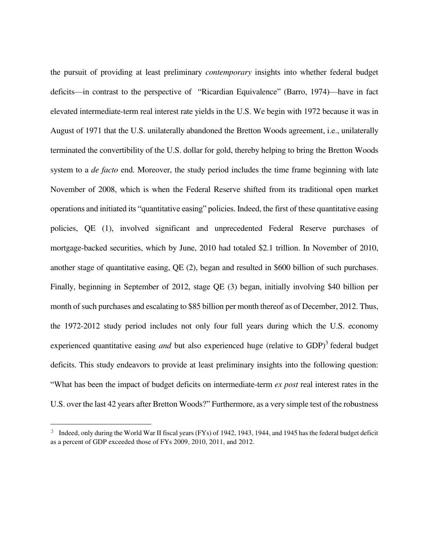the pursuit of providing at least preliminary *contemporary* insights into whether federal budget deficits—in contrast to the perspective of "Ricardian Equivalence" (Barro, 1974)—have in fact elevated intermediate-term real interest rate yields in the U.S. We begin with 1972 because it was in August of 1971 that the U.S. unilaterally abandoned the Bretton Woods agreement, i.e., unilaterally terminated the convertibility of the U.S. dollar for gold, thereby helping to bring the Bretton Woods system to a *de facto* end. Moreover, the study period includes the time frame beginning with late November of 2008, which is when the Federal Reserve shifted from its traditional open market operations and initiated its "quantitative easing" policies. Indeed, the first of these quantitative easing policies, QE (1), involved significant and unprecedented Federal Reserve purchases of mortgage-backed securities, which by June, 2010 had totaled \$2.1 trillion. In November of 2010, another stage of quantitative easing, QE (2), began and resulted in \$600 billion of such purchases. Finally, beginning in September of 2012, stage QE (3) began, initially involving \$40 billion per month of such purchases and escalating to \$85 billion per month thereof as of December, 2012. Thus, the 1972-2012 study period includes not only four full years during which the U.S. economy experienced quantitative easing *and* but also experienced huge (relative to GDP)<sup>3</sup> federal budget deficits. This study endeavors to provide at least preliminary insights into the following question: "What has been the impact of budget deficits on intermediate-term *ex post* real interest rates in the U.S. over the last 42 years after Bretton Woods?" Furthermore, as a very simple test of the robustness

 $\overline{\phantom{0}}$ 

<sup>&</sup>lt;sup>3</sup> Indeed, only during the World War II fiscal years (FYs) of 1942, 1943, 1944, and 1945 has the federal budget deficit as a percent of GDP exceeded those of FYs 2009, 2010, 2011, and 2012.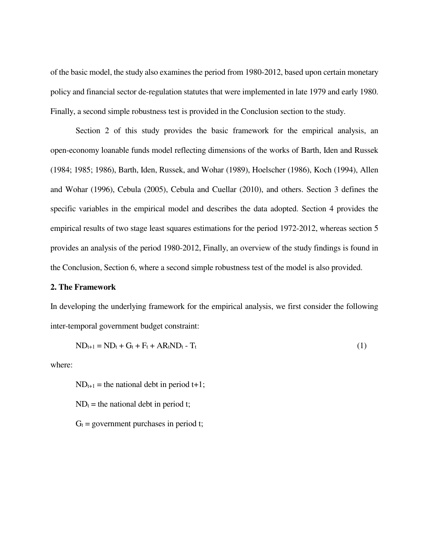of the basic model, the study also examines the period from 1980-2012, based upon certain monetary policy and financial sector de-regulation statutes that were implemented in late 1979 and early 1980. Finally, a second simple robustness test is provided in the Conclusion section to the study.

 Section 2 of this study provides the basic framework for the empirical analysis, an open-economy loanable funds model reflecting dimensions of the works of Barth, Iden and Russek (1984; 1985; 1986), Barth, Iden, Russek, and Wohar (1989), Hoelscher (1986), Koch (1994), Allen and Wohar (1996), Cebula (2005), Cebula and Cuellar (2010), and others. Section 3 defines the specific variables in the empirical model and describes the data adopted. Section 4 provides the empirical results of two stage least squares estimations for the period 1972-2012, whereas section 5 provides an analysis of the period 1980-2012, Finally, an overview of the study findings is found in the Conclusion, Section 6, where a second simple robustness test of the model is also provided.

## **2. The Framework**

In developing the underlying framework for the empirical analysis, we first consider the following inter-temporal government budget constraint:

$$
ND_{t+1} = ND_t + G_t + F_t + AR_t ND_t - T_t
$$
\n
$$
(1)
$$

where:

 $ND_{t+1}$  = the national debt in period t+1;  $ND_t$  = the national debt in period t;  $G_t$  = government purchases in period t;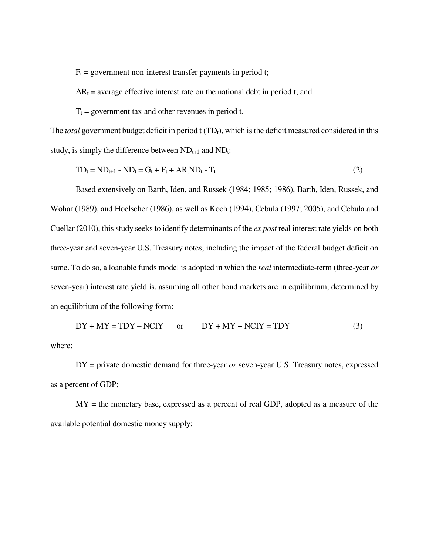$F_t$  = government non-interest transfer payments in period t;

 $AR_t$  = average effective interest rate on the national debt in period t; and

 $T_t$  = government tax and other revenues in period t.

The *total* government budget deficit in period t (TD<sub>t</sub>), which is the deficit measured considered in this study, is simply the difference between  $ND_{t+1}$  and  $ND_t$ :

$$
TD_t = ND_{t+1} - ND_t = G_t + F_t + AR_t ND_t - T_t \tag{2}
$$

 Based extensively on Barth, Iden, and Russek (1984; 1985; 1986), Barth, Iden, Russek, and Wohar (1989), and Hoelscher (1986), as well as Koch (1994), Cebula (1997; 2005), and Cebula and Cuellar (2010), this study seeks to identify determinants of the *ex post* real interest rate yields on both three-year and seven-year U.S. Treasury notes, including the impact of the federal budget deficit on same. To do so, a loanable funds model is adopted in which the *real* intermediate-term (three-year *or* seven-year) interest rate yield is, assuming all other bond markets are in equilibrium, determined by an equilibrium of the following form:

 $DY + MY = TDY - NCIY$  or  $DY + MY + NCIY = TDY$  (3) where:

 DY = private domestic demand for three-year *or* seven-year U.S. Treasury notes, expressed as a percent of GDP;

 MY = the monetary base, expressed as a percent of real GDP, adopted as a measure of the available potential domestic money supply;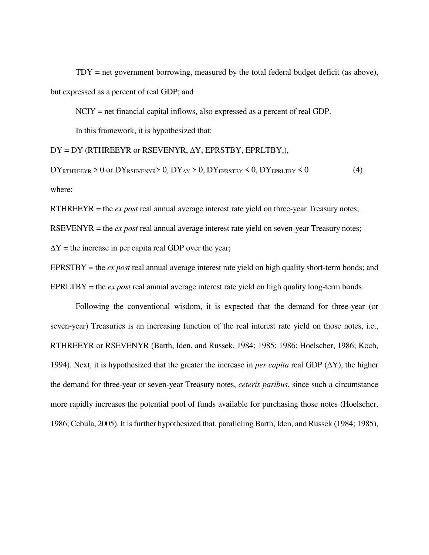TDY = net government borrowing, measured by the total federal budget deficit (as above), but expressed as a percent of real GDP; and

NCIY = net financial capital inflows, also expressed as a percent of real GDP.

In this framework, it is hypothesized that:

DY = DY (RTHREEYR or RSEVENYR, ∆Y, EPRSTBY, EPRLTBY,),

 $DY_{RTHREEYR} > 0$  or  $DY_{RSEVENYR} > 0$ ,  $DY_{\Delta Y} > 0$ ,  $DY_{EPRSTBY} < 0$ ,  $DY_{EPRLTBY} < 0$  (4) where:

RTHREEYR = the *ex post* real annual average interest rate yield on three-year Treasury notes;

RSEVENYR = the *ex post* real annual average interest rate yield on seven-year Treasury notes;

 $\Delta Y$  = the increase in per capita real GDP over the year;

EPRSTBY = the *ex post* real annual average interest rate yield on high quality short-term bonds; and EPRLTBY = the *ex post* real annual average interest rate yield on high quality long-term bonds.

 Following the conventional wisdom, it is expected that the demand for three-year (or seven-year) Treasuries is an increasing function of the real interest rate yield on those notes, i.e., RTHREEYR or RSEVENYR (Barth, Iden, and Russek, 1984; 1985; 1986; Hoelscher, 1986; Koch, 1994). Next, it is hypothesized that the greater the increase in *per capita* real GDP (∆Y), the higher the demand for three-year or seven-year Treasury notes, *ceteris paribus*, since such a circumstance more rapidly increases the potential pool of funds available for purchasing those notes (Hoelscher, 1986; Cebula, 2005). It is further hypothesized that, paralleling Barth, Iden, and Russek (1984; 1985),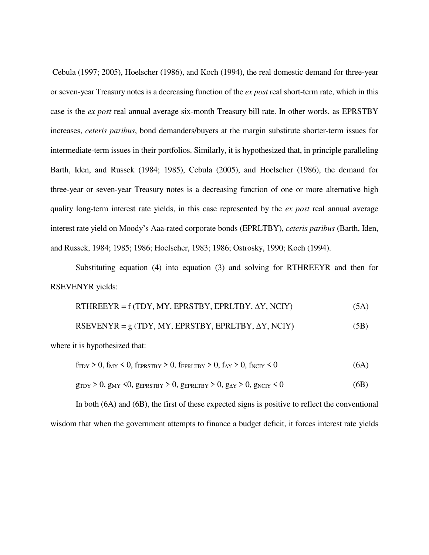Cebula (1997; 2005), Hoelscher (1986), and Koch (1994), the real domestic demand for three-year or seven-year Treasury notes is a decreasing function of the *ex post* real short-term rate, which in this case is the *ex post* real annual average six-month Treasury bill rate. In other words, as EPRSTBY increases, *ceteris paribus*, bond demanders/buyers at the margin substitute shorter-term issues for intermediate-term issues in their portfolios. Similarly, it is hypothesized that, in principle paralleling Barth, Iden, and Russek (1984; 1985), Cebula (2005), and Hoelscher (1986), the demand for three-year or seven-year Treasury notes is a decreasing function of one or more alternative high quality long-term interest rate yields, in this case represented by the *ex post* real annual average interest rate yield on Moody's Aaa-rated corporate bonds (EPRLTBY), *ceteris paribus* (Barth, Iden, and Russek, 1984; 1985; 1986; Hoelscher, 1983; 1986; Ostrosky, 1990; Koch (1994).

 Substituting equation (4) into equation (3) and solving for RTHREEYR and then for RSEVENYR yields:

| RTHREEYR = $f(TDY, MY, EPRSTBY, EPRLTBY, \Delta Y, NCIY)$ | (5A) |
|-----------------------------------------------------------|------|
| RSEVENYR = $g(TDY, MY, EPRSTBY, EPRLTBY, \Delta Y, NCIY)$ | (5B) |
| where it is hypothesized that:                            |      |

| $f_{TDY} > 0$ , $f_{MY} < 0$ , $f_{EPRSTBY} > 0$ , $f_{EPRLTBY} > 0$ , $f_{AY} > 0$ , $f_{NCIY} < 0$                                           | (6A) |
|------------------------------------------------------------------------------------------------------------------------------------------------|------|
| $g_{\text{TDY}} > 0$ , $g_{\text{MY}} < 0$ , $g_{\text{EPRSTBY}} > 0$ , $g_{\text{EPRLTBY}} > 0$ , $g_{\text{AY}} > 0$ , $g_{\text{NCIY}} < 0$ | (6B) |

 In both (6A) and (6B), the first of these expected signs is positive to reflect the conventional wisdom that when the government attempts to finance a budget deficit, it forces interest rate yields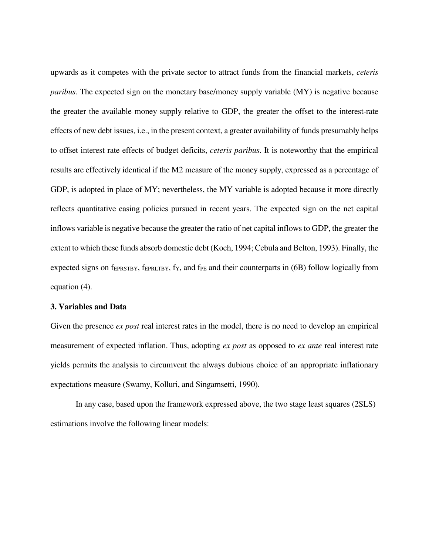upwards as it competes with the private sector to attract funds from the financial markets, *ceteris paribus*. The expected sign on the monetary base/money supply variable (MY) is negative because the greater the available money supply relative to GDP, the greater the offset to the interest-rate effects of new debt issues, i.e., in the present context, a greater availability of funds presumably helps to offset interest rate effects of budget deficits, *ceteris paribus*. It is noteworthy that the empirical results are effectively identical if the M2 measure of the money supply, expressed as a percentage of GDP, is adopted in place of MY; nevertheless, the MY variable is adopted because it more directly reflects quantitative easing policies pursued in recent years. The expected sign on the net capital inflows variable is negative because the greater the ratio of net capital inflows to GDP, the greater the extent to which these funds absorb domestic debt (Koch, 1994; Cebula and Belton, 1993). Finally, the expected signs on  $f_{EPRSTBY}$ ,  $f_{EPRLTBY}$ ,  $f_Y$ , and  $f_{PE}$  and their counterparts in (6B) follow logically from equation (4).

#### **3. Variables and Data**

Given the presence *ex post* real interest rates in the model, there is no need to develop an empirical measurement of expected inflation. Thus, adopting *ex post* as opposed to *ex ante* real interest rate yields permits the analysis to circumvent the always dubious choice of an appropriate inflationary expectations measure (Swamy, Kolluri, and Singamsetti, 1990).

 In any case, based upon the framework expressed above, the two stage least squares (2SLS) estimations involve the following linear models: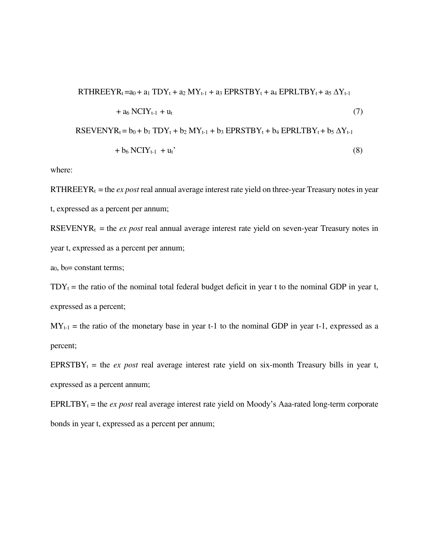$$
RTHREEYRt = a0 + a1 TDYt + a2 MYt-1 + a3 EPRSTBYt + a4 EPRLTBYt + a5 \Delta Yt-1
$$
  
+ a<sub>6</sub> NCIY<sub>t-1</sub> + u<sub>t</sub> (7)  
\n
$$
RSEVENYRt = b0 + b1 TDYt + b2 MYt-1 + b3 EPRSTBYt + b4 EPRLTBYt + b5 \Delta Yt-1
$$
  
+ b<sub>6</sub> NCIY<sub>t-1</sub> + u<sub>t</sub>' (8)

where:

RTHREEYR $<sub>t</sub>$  = the *ex post* real annual average interest rate yield on three-year Treasury notes in year</sub> t, expressed as a percent per annum;

RSEVENYR<sub>t</sub> = the *ex post* real annual average interest rate yield on seven-year Treasury notes in year t, expressed as a percent per annum;

 $a_0$ ,  $b_0$ = constant terms;

 $TDY_t$  = the ratio of the nominal total federal budget deficit in year t to the nominal GDP in year t, expressed as a percent;

 $MY_{t-1}$  = the ratio of the monetary base in year t-1 to the nominal GDP in year t-1, expressed as a percent;

EPRSTBY<sub>t</sub> = the *ex post* real average interest rate yield on six-month Treasury bills in year t, expressed as a percent annum;

EPRLTBY $t =$  the *ex post* real average interest rate yield on Moody's Aaa-rated long-term corporate bonds in year t, expressed as a percent per annum;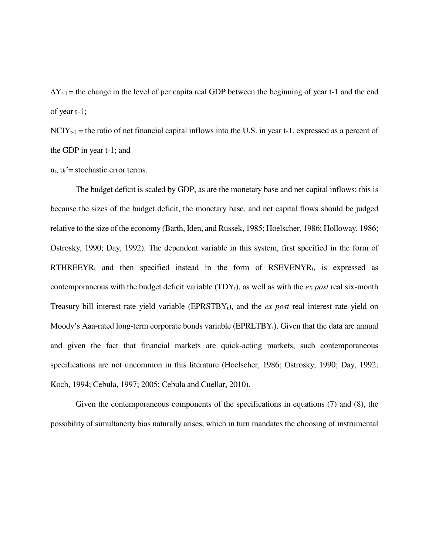$\Delta Y_{t-1}$  = the change in the level of per capita real GDP between the beginning of year t-1 and the end of year t-1;

 $NCIY_{t-1}$  = the ratio of net financial capital inflows into the U.S. in year t-1, expressed as a percent of the GDP in year t-1; and

 $u_t$ ,  $u_t$ '= stochastic error terms.

 The budget deficit is scaled by GDP, as are the monetary base and net capital inflows; this is because the sizes of the budget deficit, the monetary base, and net capital flows should be judged relative to the size of the economy (Barth, Iden, and Russek, 1985; Hoelscher, 1986; Holloway, 1986; Ostrosky, 1990; Day, 1992). The dependent variable in this system, first specified in the form of  $RTHREEYR_t$  and then specified instead in the form of  $RSEVENYR_t$ , is expressed as contemporaneous with the budget deficit variable  $(TDY_t)$ , as well as with the *ex post* real six-month Treasury bill interest rate yield variable (EPRSTBYt), and the *ex post* real interest rate yield on Moody's Aaa-rated long-term corporate bonds variable (EPRLTBY<sub>t</sub>). Given that the data are annual and given the fact that financial markets are quick-acting markets, such contemporaneous specifications are not uncommon in this literature (Hoelscher, 1986; Ostrosky, 1990; Day, 1992; Koch, 1994; Cebula, 1997; 2005; Cebula and Cuellar, 2010).

 Given the contemporaneous components of the specifications in equations (7) and (8), the possibility of simultaneity bias naturally arises, which in turn mandates the choosing of instrumental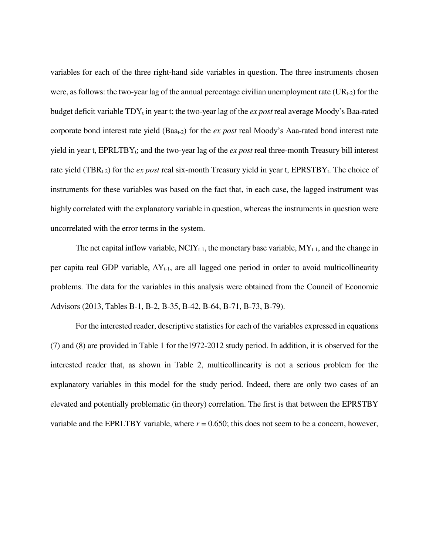variables for each of the three right-hand side variables in question. The three instruments chosen were, as follows: the two-year lag of the annual percentage civilian unemployment rate  $(UR_{t-2})$  for the budget deficit variable TDY<sub>t</sub> in year t; the two-year lag of the *ex post* real average Moody's Baa-rated corporate bond interest rate yield (Baat-2) for the *ex post* real Moody's Aaa-rated bond interest rate yield in year t, EPRLTBY<sub>t</sub>; and the two-year lag of the *ex post* real three-month Treasury bill interest rate yield (TBR<sub>t-2</sub>) for the *ex post* real six-month Treasury yield in year t, EPRSTBY<sub>t</sub>. The choice of instruments for these variables was based on the fact that, in each case, the lagged instrument was highly correlated with the explanatory variable in question, whereas the instruments in question were uncorrelated with the error terms in the system.

The net capital inflow variable,  $\text{NCIY}_{t-1}$ , the monetary base variable,  $\text{MY}_{t-1}$ , and the change in per capita real GDP variable,  $\Delta Y_{t-1}$ , are all lagged one period in order to avoid multicollinearity problems. The data for the variables in this analysis were obtained from the Council of Economic Advisors (2013, Tables B-1, B-2, B-35, B-42, B-64, B-71, B-73, B-79).

 For the interested reader, descriptive statistics for each of the variables expressed in equations (7) and (8) are provided in Table 1 for the1972-2012 study period. In addition, it is observed for the interested reader that, as shown in Table 2, multicollinearity is not a serious problem for the explanatory variables in this model for the study period. Indeed, there are only two cases of an elevated and potentially problematic (in theory) correlation. The first is that between the EPRSTBY variable and the EPRLTBY variable, where  $r = 0.650$ ; this does not seem to be a concern, however,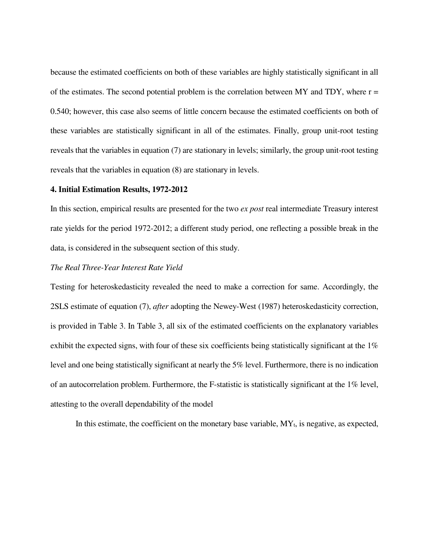because the estimated coefficients on both of these variables are highly statistically significant in all of the estimates. The second potential problem is the correlation between MY and TDY, where  $r =$ 0.540; however, this case also seems of little concern because the estimated coefficients on both of these variables are statistically significant in all of the estimates. Finally, group unit-root testing reveals that the variables in equation (7) are stationary in levels; similarly, the group unit-root testing reveals that the variables in equation (8) are stationary in levels.

#### **4. Initial Estimation Results, 1972-2012**

In this section, empirical results are presented for the two *ex post* real intermediate Treasury interest rate yields for the period 1972-2012; a different study period, one reflecting a possible break in the data, is considered in the subsequent section of this study.

## *The Real Three-Year Interest Rate Yield*

Testing for heteroskedasticity revealed the need to make a correction for same. Accordingly, the 2SLS estimate of equation (7), *after* adopting the Newey-West (1987) heteroskedasticity correction, is provided in Table 3. In Table 3, all six of the estimated coefficients on the explanatory variables exhibit the expected signs, with four of these six coefficients being statistically significant at the 1% level and one being statistically significant at nearly the 5% level. Furthermore, there is no indication of an autocorrelation problem. Furthermore, the F-statistic is statistically significant at the 1% level, attesting to the overall dependability of the model

In this estimate, the coefficient on the monetary base variable,  $MY_t$ , is negative, as expected,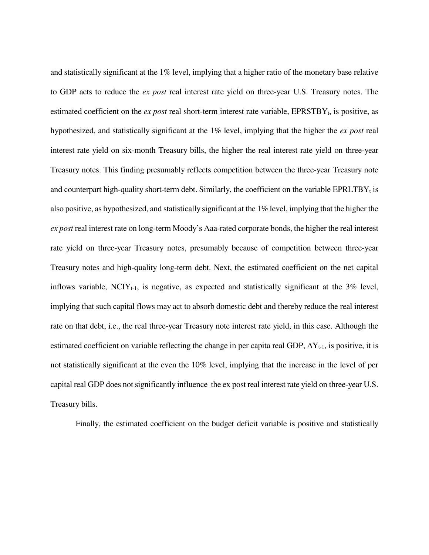and statistically significant at the  $1\%$  level, implying that a higher ratio of the monetary base relative to GDP acts to reduce the *ex post* real interest rate yield on three-year U.S. Treasury notes. The estimated coefficient on the  $ex$  *post* real short-term interest rate variable,  $EPRSTBY<sub>t</sub>$ , is positive, as hypothesized, and statistically significant at the 1% level, implying that the higher the *ex post* real interest rate yield on six-month Treasury bills, the higher the real interest rate yield on three-year Treasury notes. This finding presumably reflects competition between the three-year Treasury note and counterpart high-quality short-term debt. Similarly, the coefficient on the variable  $EPRLTBY_t$  is also positive, as hypothesized, and statistically significant at the 1% level, implying that the higher the *ex post* real interest rate on long-term Moody's Aaa-rated corporate bonds, the higher the real interest rate yield on three-year Treasury notes, presumably because of competition between three-year Treasury notes and high-quality long-term debt. Next, the estimated coefficient on the net capital inflows variable,  $NCIY_{t-1}$ , is negative, as expected and statistically significant at the 3% level, implying that such capital flows may act to absorb domestic debt and thereby reduce the real interest rate on that debt, i.e., the real three-year Treasury note interest rate yield, in this case. Although the estimated coefficient on variable reflecting the change in per capita real GDP,  $\Delta Y_{t-1}$ , is positive, it is not statistically significant at the even the 10% level, implying that the increase in the level of per capital real GDP does not significantly influence the ex post real interest rate yield on three-year U.S. Treasury bills.

Finally, the estimated coefficient on the budget deficit variable is positive and statistically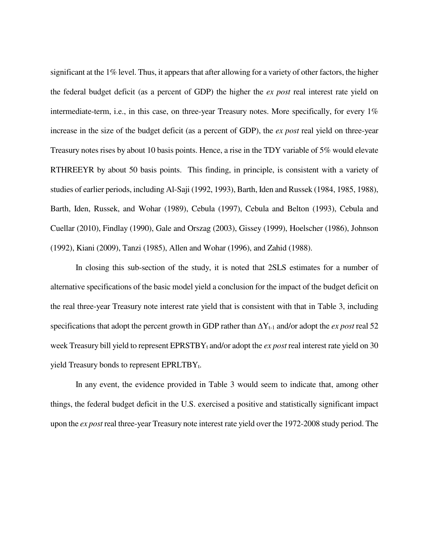significant at the 1% level. Thus, it appears that after allowing for a variety of other factors, the higher the federal budget deficit (as a percent of GDP) the higher the *ex post* real interest rate yield on intermediate-term, i.e., in this case, on three-year Treasury notes. More specifically, for every 1% increase in the size of the budget deficit (as a percent of GDP), the *ex post* real yield on three-year Treasury notes rises by about 10 basis points. Hence, a rise in the TDY variable of 5% would elevate RTHREEYR by about 50 basis points. This finding, in principle, is consistent with a variety of studies of earlier periods, including Al-Saji (1992, 1993), Barth, Iden and Russek (1984, 1985, 1988), Barth, Iden, Russek, and Wohar (1989), Cebula (1997), Cebula and Belton (1993), Cebula and Cuellar (2010), Findlay (1990), Gale and Orszag (2003), Gissey (1999), Hoelscher (1986), Johnson (1992), Kiani (2009), Tanzi (1985), Allen and Wohar (1996), and Zahid (1988).

 In closing this sub-section of the study, it is noted that 2SLS estimates for a number of alternative specifications of the basic model yield a conclusion for the impact of the budget deficit on the real three-year Treasury note interest rate yield that is consistent with that in Table 3, including specifications that adopt the percent growth in GDP rather than  $\Delta Y_{t-1}$  and/or adopt the *ex post* real 52 week Treasury bill yield to represent EPRSTBY<sub>t</sub> and/or adopt the *ex post* real interest rate yield on 30 yield Treasury bonds to represent  $EPRLTBY_t$ .

 In any event, the evidence provided in Table 3 would seem to indicate that, among other things, the federal budget deficit in the U.S. exercised a positive and statistically significant impact upon the *ex post* real three-year Treasury note interest rate yield over the 1972-2008 study period. The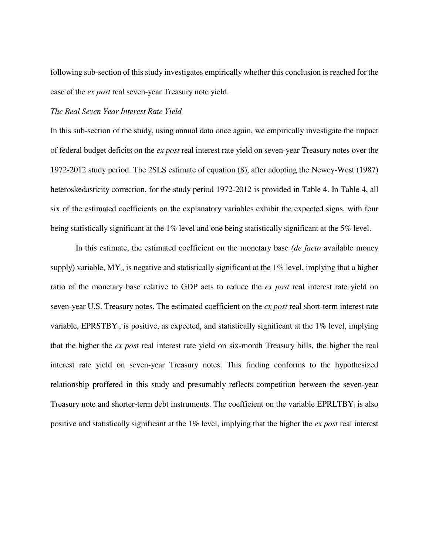following sub-section of this study investigates empirically whether this conclusion is reached for the case of the *ex post* real seven-year Treasury note yield.

#### *The Real Seven Year Interest Rate Yield*

In this sub-section of the study, using annual data once again, we empirically investigate the impact of federal budget deficits on the *ex post* real interest rate yield on seven-year Treasury notes over the 1972-2012 study period. The 2SLS estimate of equation (8), after adopting the Newey-West (1987) heteroskedasticity correction, for the study period 1972-2012 is provided in Table 4. In Table 4, all six of the estimated coefficients on the explanatory variables exhibit the expected signs, with four being statistically significant at the 1% level and one being statistically significant at the 5% level.

 In this estimate, the estimated coefficient on the monetary base *(de facto* available money supply) variable,  $MY_t$ , is negative and statistically significant at the 1% level, implying that a higher ratio of the monetary base relative to GDP acts to reduce the *ex post* real interest rate yield on seven-year U.S. Treasury notes. The estimated coefficient on the *ex post* real short-term interest rate variable, EPRSTBY<sub>t</sub>, is positive, as expected, and statistically significant at the  $1\%$  level, implying that the higher the *ex post* real interest rate yield on six-month Treasury bills, the higher the real interest rate yield on seven-year Treasury notes. This finding conforms to the hypothesized relationship proffered in this study and presumably reflects competition between the seven-year Treasury note and shorter-term debt instruments. The coefficient on the variable  $EPRLTBY_t$  is also positive and statistically significant at the 1% level, implying that the higher the *ex post* real interest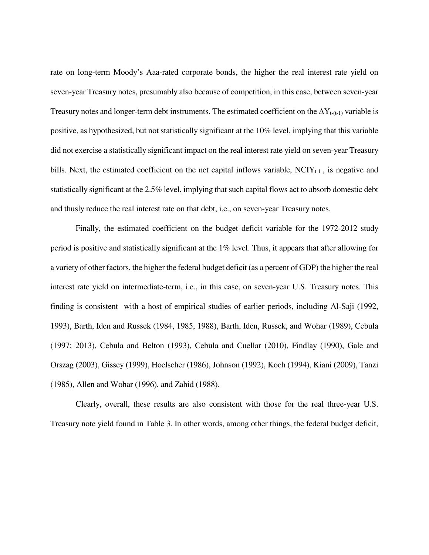rate on long-term Moody's Aaa-rated corporate bonds, the higher the real interest rate yield on seven-year Treasury notes, presumably also because of competition, in this case, between seven-year Treasury notes and longer-term debt instruments. The estimated coefficient on the  $\Delta Y_{t-(t-1)}$  variable is positive, as hypothesized, but not statistically significant at the 10% level, implying that this variable did not exercise a statistically significant impact on the real interest rate yield on seven-year Treasury bills. Next, the estimated coefficient on the net capital inflows variable,  $NCIY_{t-1}$ , is negative and statistically significant at the 2.5% level, implying that such capital flows act to absorb domestic debt and thusly reduce the real interest rate on that debt, i.e., on seven-year Treasury notes.

 Finally, the estimated coefficient on the budget deficit variable for the 1972-2012 study period is positive and statistically significant at the 1% level. Thus, it appears that after allowing for a variety of other factors, the higher the federal budget deficit (as a percent of GDP) the higher the real interest rate yield on intermediate-term, i.e., in this case, on seven-year U.S. Treasury notes. This finding is consistent with a host of empirical studies of earlier periods, including Al-Saji (1992, 1993), Barth, Iden and Russek (1984, 1985, 1988), Barth, Iden, Russek, and Wohar (1989), Cebula (1997; 2013), Cebula and Belton (1993), Cebula and Cuellar (2010), Findlay (1990), Gale and Orszag (2003), Gissey (1999), Hoelscher (1986), Johnson (1992), Koch (1994), Kiani (2009), Tanzi (1985), Allen and Wohar (1996), and Zahid (1988).

 Clearly, overall, these results are also consistent with those for the real three-year U.S. Treasury note yield found in Table 3. In other words, among other things, the federal budget deficit,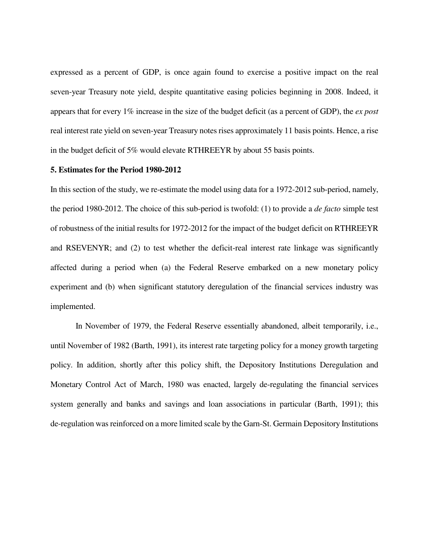expressed as a percent of GDP, is once again found to exercise a positive impact on the real seven-year Treasury note yield, despite quantitative easing policies beginning in 2008. Indeed, it appears that for every 1% increase in the size of the budget deficit (as a percent of GDP), the *ex post* real interest rate yield on seven-year Treasury notes rises approximately 11 basis points. Hence, a rise in the budget deficit of 5% would elevate RTHREEYR by about 55 basis points.

#### **5. Estimates for the Period 1980-2012**

In this section of the study, we re-estimate the model using data for a 1972-2012 sub-period, namely, the period 1980-2012. The choice of this sub-period is twofold: (1) to provide a *de facto* simple test of robustness of the initial results for 1972-2012 for the impact of the budget deficit on RTHREEYR and RSEVENYR; and (2) to test whether the deficit-real interest rate linkage was significantly affected during a period when (a) the Federal Reserve embarked on a new monetary policy experiment and (b) when significant statutory deregulation of the financial services industry was implemented.

 In November of 1979, the Federal Reserve essentially abandoned, albeit temporarily, i.e., until November of 1982 (Barth, 1991), its interest rate targeting policy for a money growth targeting policy. In addition, shortly after this policy shift, the Depository Institutions Deregulation and Monetary Control Act of March, 1980 was enacted, largely de-regulating the financial services system generally and banks and savings and loan associations in particular (Barth, 1991); this de-regulation was reinforced on a more limited scale by the Garn-St. Germain Depository Institutions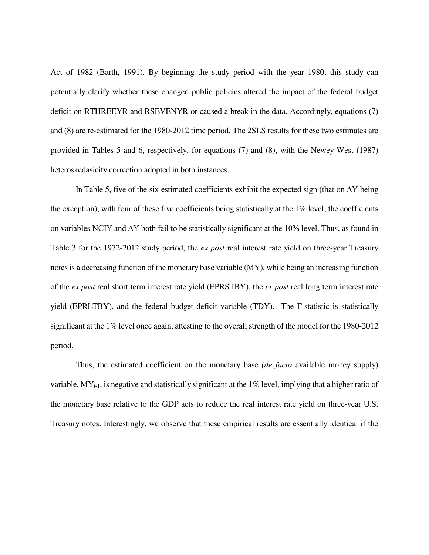Act of 1982 (Barth, 1991). By beginning the study period with the year 1980, this study can potentially clarify whether these changed public policies altered the impact of the federal budget deficit on RTHREEYR and RSEVENYR or caused a break in the data. Accordingly, equations (7) and (8) are re-estimated for the 1980-2012 time period. The 2SLS results for these two estimates are provided in Tables 5 and 6, respectively, for equations (7) and (8), with the Newey-West (1987) heteroskedasicity correction adopted in both instances.

In Table 5, five of the six estimated coefficients exhibit the expected sign (that on  $\Delta Y$  being the exception), with four of these five coefficients being statistically at the 1% level; the coefficients on variables NCIY and ∆Y both fail to be statistically significant at the 10% level. Thus, as found in Table 3 for the 1972-2012 study period, the *ex post* real interest rate yield on three-year Treasury notes is a decreasing function of the monetary base variable (MY), while being an increasing function of the *ex post* real short term interest rate yield (EPRSTBY), the *ex post* real long term interest rate yield (EPRLTBY), and the federal budget deficit variable (TDY). The F-statistic is statistically significant at the 1% level once again, attesting to the overall strength of the model for the 1980-2012 period.

 Thus, the estimated coefficient on the monetary base *(de facto* available money supply) variable,  $MY_{t-1}$ , is negative and statistically significant at the 1% level, implying that a higher ratio of the monetary base relative to the GDP acts to reduce the real interest rate yield on three-year U.S. Treasury notes. Interestingly, we observe that these empirical results are essentially identical if the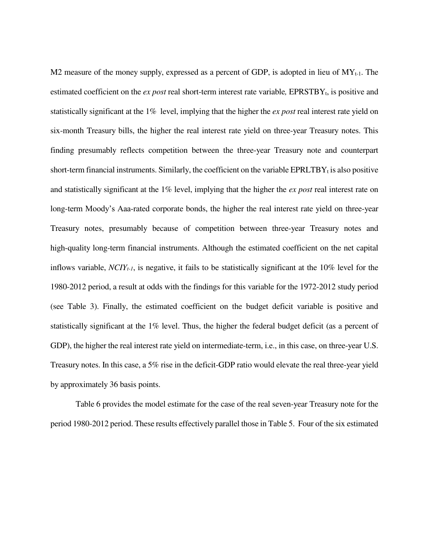M2 measure of the money supply, expressed as a percent of GDP, is adopted in lieu of  $MY_{t-1}$ . The estimated coefficient on the *ex post* real short-term interest rate variable, EPRSTBY<sub>t</sub>, is positive and statistically significant at the 1% level, implying that the higher the *ex post* real interest rate yield on six-month Treasury bills, the higher the real interest rate yield on three-year Treasury notes. This finding presumably reflects competition between the three-year Treasury note and counterpart short-term financial instruments. Similarly, the coefficient on the variable  $EPRLTBY_t$  is also positive and statistically significant at the 1% level, implying that the higher the *ex post* real interest rate on long-term Moody's Aaa-rated corporate bonds, the higher the real interest rate yield on three-year Treasury notes, presumably because of competition between three-year Treasury notes and high-quality long-term financial instruments. Although the estimated coefficient on the net capital inflows variable,  $NCIV_{t-1}$ , is negative, it fails to be statistically significant at the 10% level for the 1980-2012 period, a result at odds with the findings for this variable for the 1972-2012 study period (see Table 3). Finally, the estimated coefficient on the budget deficit variable is positive and statistically significant at the 1% level. Thus, the higher the federal budget deficit (as a percent of GDP), the higher the real interest rate yield on intermediate-term, i.e., in this case, on three-year U.S. Treasury notes. In this case, a 5% rise in the deficit-GDP ratio would elevate the real three-year yield by approximately 36 basis points.

 Table 6 provides the model estimate for the case of the real seven-year Treasury note for the period 1980-2012 period. These results effectively parallel those in Table 5. Four of the six estimated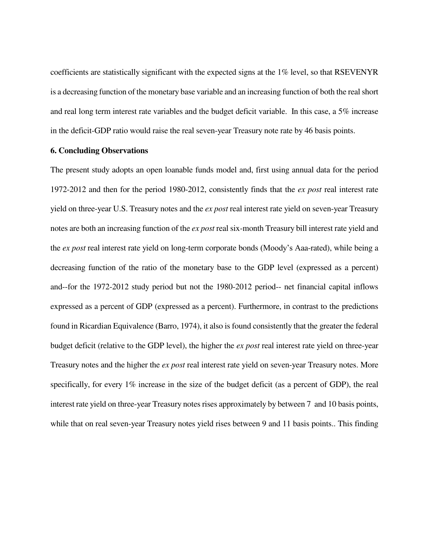coefficients are statistically significant with the expected signs at the 1% level, so that RSEVENYR is a decreasing function of the monetary base variable and an increasing function of both the real short and real long term interest rate variables and the budget deficit variable. In this case, a 5% increase in the deficit-GDP ratio would raise the real seven-year Treasury note rate by 46 basis points.

## **6. Concluding Observations**

The present study adopts an open loanable funds model and, first using annual data for the period 1972-2012 and then for the period 1980-2012, consistently finds that the *ex post* real interest rate yield on three-year U.S. Treasury notes and the *ex post* real interest rate yield on seven-year Treasury notes are both an increasing function of the *ex post* real six-month Treasury bill interest rate yield and the *ex post* real interest rate yield on long-term corporate bonds (Moody's Aaa-rated), while being a decreasing function of the ratio of the monetary base to the GDP level (expressed as a percent) and--for the 1972-2012 study period but not the 1980-2012 period-- net financial capital inflows expressed as a percent of GDP (expressed as a percent). Furthermore, in contrast to the predictions found in Ricardian Equivalence (Barro, 1974), it also is found consistently that the greater the federal budget deficit (relative to the GDP level), the higher the *ex post* real interest rate yield on three-year Treasury notes and the higher the *ex post* real interest rate yield on seven-year Treasury notes. More specifically, for every 1% increase in the size of the budget deficit (as a percent of GDP), the real interest rate yield on three-year Treasury notes rises approximately by between 7 and 10 basis points, while that on real seven-year Treasury notes yield rises between 9 and 11 basis points.. This finding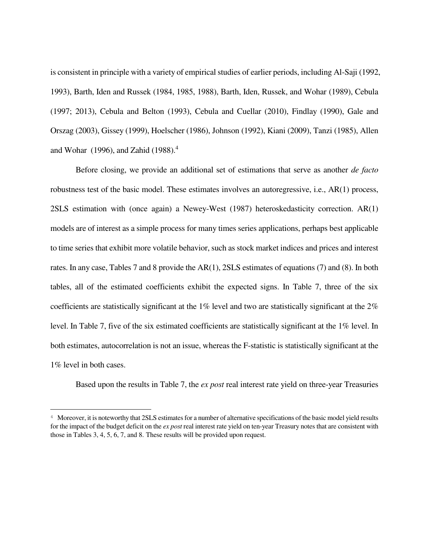is consistent in principle with a variety of empirical studies of earlier periods, including Al-Saji (1992, 1993), Barth, Iden and Russek (1984, 1985, 1988), Barth, Iden, Russek, and Wohar (1989), Cebula (1997; 2013), Cebula and Belton (1993), Cebula and Cuellar (2010), Findlay (1990), Gale and Orszag (2003), Gissey (1999), Hoelscher (1986), Johnson (1992), Kiani (2009), Tanzi (1985), Allen and Wohar (1996), and Zahid (1988). $<sup>4</sup>$ </sup>

 Before closing, we provide an additional set of estimations that serve as another *de facto* robustness test of the basic model. These estimates involves an autoregressive, i.e., AR(1) process, 2SLS estimation with (once again) a Newey-West (1987) heteroskedasticity correction. AR(1) models are of interest as a simple process for many times series applications, perhaps best applicable to time series that exhibit more volatile behavior, such as stock market indices and prices and interest rates. In any case, Tables 7 and 8 provide the AR(1), 2SLS estimates of equations (7) and (8). In both tables, all of the estimated coefficients exhibit the expected signs. In Table 7, three of the six coefficients are statistically significant at the 1% level and two are statistically significant at the 2% level. In Table 7, five of the six estimated coefficients are statistically significant at the 1% level. In both estimates, autocorrelation is not an issue, whereas the F-statistic is statistically significant at the 1% level in both cases.

Based upon the results in Table 7, the *ex post* real interest rate yield on three-year Treasuries

į.

<sup>&</sup>lt;sup>4</sup> Moreover, it is noteworthy that 2SLS estimates for a number of alternative specifications of the basic model yield results for the impact of the budget deficit on the *ex post* real interest rate yield on ten-year Treasury notes that are consistent with those in Tables 3, 4, 5, 6, 7, and 8. These results will be provided upon request.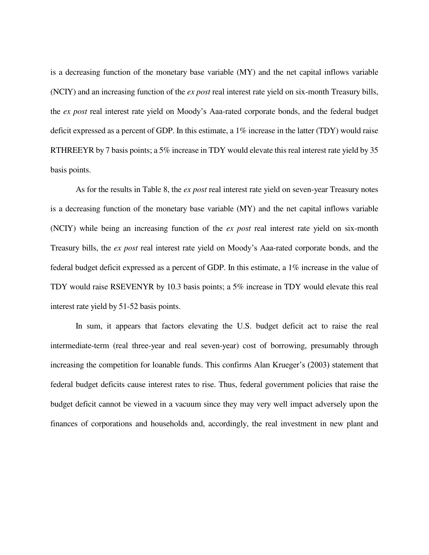is a decreasing function of the monetary base variable (MY) and the net capital inflows variable (NCIY) and an increasing function of the *ex post* real interest rate yield on six-month Treasury bills, the *ex post* real interest rate yield on Moody's Aaa-rated corporate bonds, and the federal budget deficit expressed as a percent of GDP. In this estimate, a 1% increase in the latter (TDY) would raise RTHREEYR by 7 basis points; a 5% increase in TDY would elevate this real interest rate yield by 35 basis points.

 As for the results in Table 8, the *ex post* real interest rate yield on seven-year Treasury notes is a decreasing function of the monetary base variable (MY) and the net capital inflows variable (NCIY) while being an increasing function of the *ex post* real interest rate yield on six-month Treasury bills, the *ex post* real interest rate yield on Moody's Aaa-rated corporate bonds, and the federal budget deficit expressed as a percent of GDP. In this estimate, a 1% increase in the value of TDY would raise RSEVENYR by 10.3 basis points; a 5% increase in TDY would elevate this real interest rate yield by 51-52 basis points.

 In sum, it appears that factors elevating the U.S. budget deficit act to raise the real intermediate-term (real three-year and real seven-year) cost of borrowing, presumably through increasing the competition for loanable funds. This confirms Alan Krueger's (2003) statement that federal budget deficits cause interest rates to rise. Thus, federal government policies that raise the budget deficit cannot be viewed in a vacuum since they may very well impact adversely upon the finances of corporations and households and, accordingly, the real investment in new plant and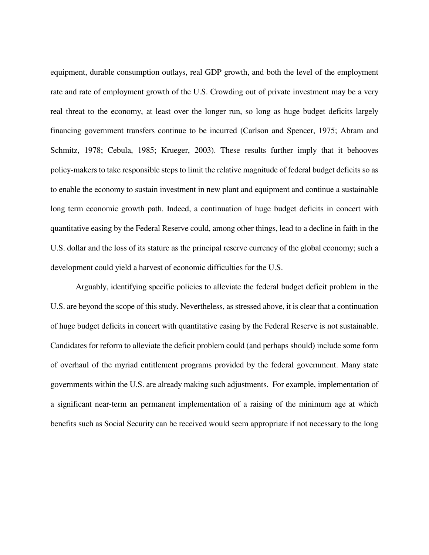equipment, durable consumption outlays, real GDP growth, and both the level of the employment rate and rate of employment growth of the U.S. Crowding out of private investment may be a very real threat to the economy, at least over the longer run, so long as huge budget deficits largely financing government transfers continue to be incurred (Carlson and Spencer, 1975; Abram and Schmitz, 1978; Cebula, 1985; Krueger, 2003). These results further imply that it behooves policy-makers to take responsible steps to limit the relative magnitude of federal budget deficits so as to enable the economy to sustain investment in new plant and equipment and continue a sustainable long term economic growth path. Indeed, a continuation of huge budget deficits in concert with quantitative easing by the Federal Reserve could, among other things, lead to a decline in faith in the U.S. dollar and the loss of its stature as the principal reserve currency of the global economy; such a development could yield a harvest of economic difficulties for the U.S.

 Arguably, identifying specific policies to alleviate the federal budget deficit problem in the U.S. are beyond the scope of this study. Nevertheless, as stressed above, it is clear that a continuation of huge budget deficits in concert with quantitative easing by the Federal Reserve is not sustainable. Candidates for reform to alleviate the deficit problem could (and perhaps should) include some form of overhaul of the myriad entitlement programs provided by the federal government. Many state governments within the U.S. are already making such adjustments. For example, implementation of a significant near-term an permanent implementation of a raising of the minimum age at which benefits such as Social Security can be received would seem appropriate if not necessary to the long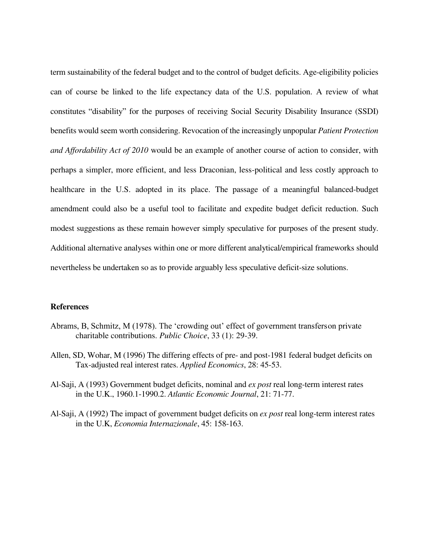term sustainability of the federal budget and to the control of budget deficits. Age-eligibility policies can of course be linked to the life expectancy data of the U.S. population. A review of what constitutes "disability" for the purposes of receiving Social Security Disability Insurance (SSDI) benefits would seem worth considering. Revocation of the increasingly unpopular *Patient Protection and Affordability Act of 2010* would be an example of another course of action to consider, with perhaps a simpler, more efficient, and less Draconian, less-political and less costly approach to healthcare in the U.S. adopted in its place. The passage of a meaningful balanced-budget amendment could also be a useful tool to facilitate and expedite budget deficit reduction. Such modest suggestions as these remain however simply speculative for purposes of the present study. Additional alternative analyses within one or more different analytical/empirical frameworks should nevertheless be undertaken so as to provide arguably less speculative deficit-size solutions.

#### **References**

- Abrams, B, Schmitz, M (1978). The 'crowding out' effect of government transfers on private charitable contributions. *Public Choice*, 33 (1): 29-39.
- Allen, SD, Wohar, M (1996) The differing effects of pre- and post-1981 federal budget deficits on Tax-adjusted real interest rates. *Applied Economics*, 28: 45-53.
- Al-Saji, A (1993) Government budget deficits, nominal and *ex post* real long-term interest rates in the U.K., 1960.1-1990.2. *Atlantic Economic Journal*, 21: 71-77.
- Al-Saji, A (1992) The impact of government budget deficits on *ex post* real long-term interest rates in the U.K, *Economia Internazionale*, 45: 158-163.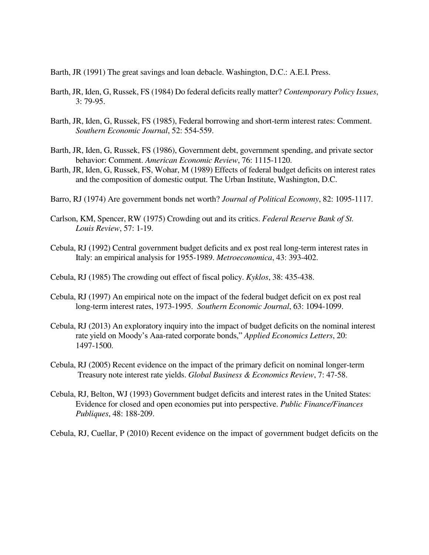Barth, JR (1991) The great savings and loan debacle. Washington, D.C.: A.E.I. Press.

- Barth, JR, Iden, G, Russek, FS (1984) Do federal deficits really matter? *Contemporary Policy Issues*, 3: 79-95.
- Barth, JR, Iden, G, Russek, FS (1985), Federal borrowing and short-term interest rates: Comment. *Southern Economic Journal*, 52: 554-559.
- Barth, JR, Iden, G, Russek, FS (1986), Government debt, government spending, and private sector behavior: Comment. *American Economic Review*, 76: 1115-1120.
- Barth, JR, Iden, G, Russek, FS, Wohar, M (1989) Effects of federal budget deficits on interest rates and the composition of domestic output. The Urban Institute, Washington, D.C.
- Barro, RJ (1974) Are government bonds net worth? *Journal of Political Economy*, 82: 1095-1117.
- Carlson, KM, Spencer, RW (1975) Crowding out and its critics. *Federal Reserve Bank of St. Louis Review*, 57: 1-19.
- Cebula, RJ (1992) Central government budget deficits and ex post real long-term interest rates in Italy: an empirical analysis for 1955-1989. *Metroeconomica*, 43: 393-402.
- Cebula, RJ (1985) The crowding out effect of fiscal policy. *Kyklos*, 38: 435-438.
- Cebula, RJ (1997) An empirical note on the impact of the federal budget deficit on ex post real long-term interest rates, 1973-1995. *Southern Economic Journal*, 63: 1094-1099.
- Cebula, RJ (2013) An exploratory inquiry into the impact of budget deficits on the nominal interest rate yield on Moody's Aaa-rated corporate bonds," *Applied Economics Letters*, 20: 1497-1500.
- Cebula, RJ (2005) Recent evidence on the impact of the primary deficit on nominal longer-term Treasury note interest rate yields. *Global Business & Economics Review*, 7: 47-58.
- Cebula, RJ, Belton, WJ (1993) Government budget deficits and interest rates in the United States: Evidence for closed and open economies put into perspective. *Public Finance/Finances Publiques*, 48: 188-209.

Cebula, RJ, Cuellar, P (2010) Recent evidence on the impact of government budget deficits on the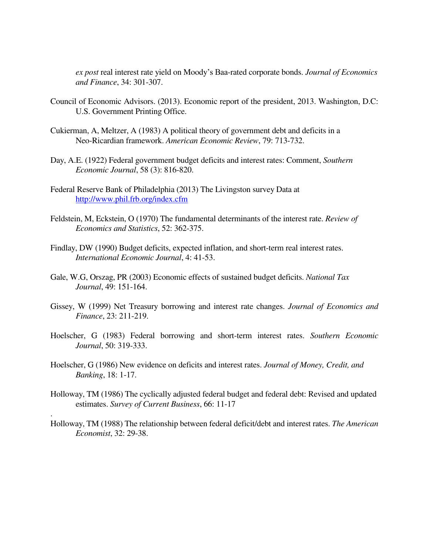*ex post* real interest rate yield on Moody's Baa-rated corporate bonds. *Journal of Economics and Finance*, 34: 301-307.

- Council of Economic Advisors. (2013). Economic report of the president, 2013. Washington, D.C: U.S. Government Printing Office.
- Cukierman, A, Meltzer, A (1983) A political theory of government debt and deficits in a Neo-Ricardian framework. *American Economic Review*, 79: 713-732.
- Day, A.E. (1922) Federal government budget deficits and interest rates: Comment, *Southern Economic Journal*, 58 (3): 816-820.
- Federal Reserve Bank of Philadelphia (2013) The Livingston survey Data at <http://www.phil.frb.org/index.cfm>
- Feldstein, M, Eckstein, O (1970) The fundamental determinants of the interest rate. *Review of Economics and Statistics*, 52: 362-375.
- Findlay, DW (1990) Budget deficits, expected inflation, and short-term real interest rates. *International Economic Journal*, 4: 41-53.
- Gale, W.G, Orszag, PR (2003) Economic effects of sustained budget deficits. *National Tax Journal*, 49: 151-164.
- Gissey, W (1999) Net Treasury borrowing and interest rate changes. *Journal of Economics and Finance*, 23: 211-219.
- Hoelscher, G (1983) Federal borrowing and short-term interest rates. *Southern Economic Journal*, 50: 319-333.
- Hoelscher, G (1986) New evidence on deficits and interest rates. *Journal of Money, Credit, and Banking*, 18: 1-17.

.

- Holloway, TM (1986) The cyclically adjusted federal budget and federal debt: Revised and updated estimates. *Survey of Current Business*, 66: 11-17
- Holloway, TM (1988) The relationship between federal deficit/debt and interest rates. *The American Economist*, 32: 29-38.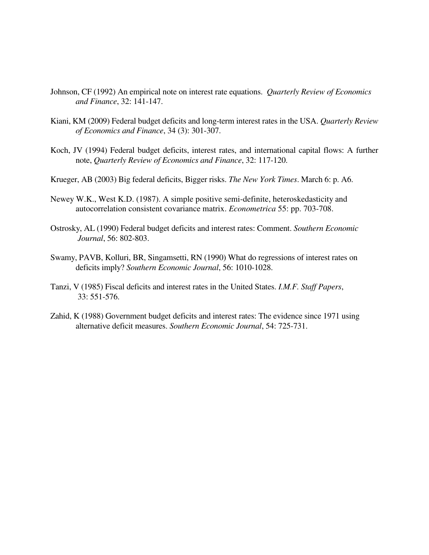- Johnson, CF (1992) An empirical note on interest rate equations. *Quarterly Review of Economics and Finance*, 32: 141-147.
- Kiani, KM (2009) Federal budget deficits and long-term interest rates in the USA. *Quarterly Review of Economics and Finance*, 34 (3): 301-307.
- Koch, JV (1994) Federal budget deficits, interest rates, and international capital flows: A further note, *Quarterly Review of Economics and Finance*, 32: 117-120.
- Krueger, AB (2003) Big federal deficits, Bigger risks. *The New York Times*. March 6: p. A6.
- Newey W.K., West K.D. (1987). A simple positive semi-definite, heteroskedasticity and autocorrelation consistent covariance matrix. *Econometrica* 55: pp. 703-708.
- Ostrosky, AL (1990) Federal budget deficits and interest rates: Comment. *Southern Economic Journal*, 56: 802-803.
- Swamy, PAVB, Kolluri, BR, Singamsetti, RN (1990) What do regressions of interest rates on deficits imply? *Southern Economic Journal*, 56: 1010-1028.
- Tanzi, V (1985) Fiscal deficits and interest rates in the United States. *I.M.F. Staff Papers*, 33: 551-576.
- Zahid, K (1988) Government budget deficits and interest rates: The evidence since 1971 using alternative deficit measures. *Southern Economic Journal*, 54: 725-731.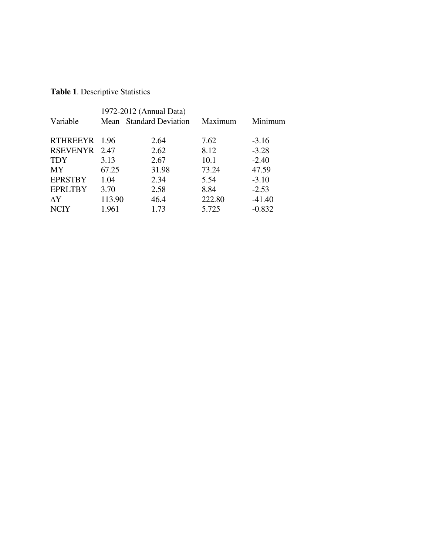# **Table 1**. Descriptive Statistics

|                 |        | 1972-2012 (Annual Data) |         |          |
|-----------------|--------|-------------------------|---------|----------|
| Variable        |        | Mean Standard Deviation | Maximum | Minimum  |
|                 |        |                         |         |          |
| <b>RTHREEYR</b> | 1.96   | 2.64                    | 7.62    | $-3.16$  |
| RSEVENYR 2.47   |        | 2.62                    | 8.12    | $-3.28$  |
| <b>TDY</b>      | 3.13   | 2.67                    | 10.1    | $-2.40$  |
| MY              | 67.25  | 31.98                   | 73.24   | 47.59    |
| <b>EPRSTBY</b>  | 1.04   | 2.34                    | 5.54    | $-3.10$  |
| <b>EPRLTBY</b>  | 3.70   | 2.58                    | 8.84    | $-2.53$  |
| $\Delta Y$      | 113.90 | 46.4                    | 222.80  | $-41.40$ |
| <b>NCIY</b>     | 1.961  | 1.73                    | 5.725   | $-0.832$ |
|                 |        |                         |         |          |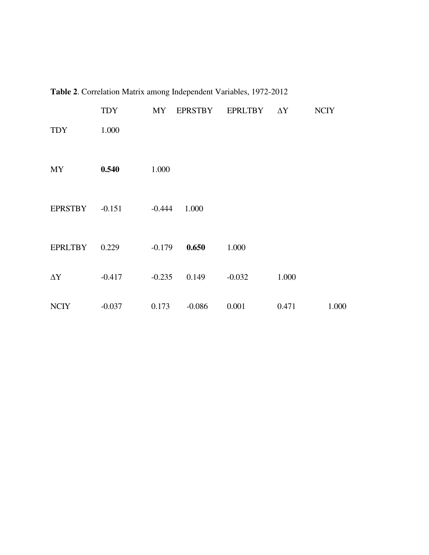|                 | <b>TDY</b> | MY       | EPRSTBY  | EPRLTBY  | $\Delta Y$ | <b>NCIY</b> |
|-----------------|------------|----------|----------|----------|------------|-------------|
| <b>TDY</b>      | 1.000      |          |          |          |            |             |
|                 |            |          |          |          |            |             |
| <b>MY</b>       | 0.540      | 1.000    |          |          |            |             |
|                 |            |          |          |          |            |             |
| <b>EPRSTBY</b>  | $-0.151$   | $-0.444$ | 1.000    |          |            |             |
|                 |            |          |          |          |            |             |
| <b>EPRLTBY</b>  | 0.229      | $-0.179$ | 0.650    | 1.000    |            |             |
| $\Delta \rm{Y}$ | $-0.417$   | $-0.235$ | 0.149    | $-0.032$ | 1.000      |             |
| <b>NCIY</b>     | $-0.037$   | 0.173    | $-0.086$ | 0.001    | 0.471      | 1.000       |
|                 |            |          |          |          |            |             |

**Table 2**. Correlation Matrix among Independent Variables, 1972-2012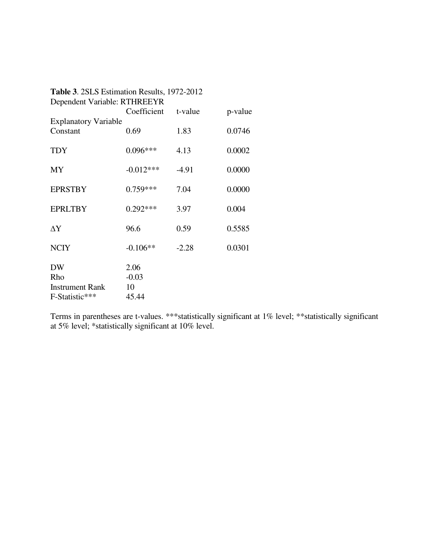| Table 3. 2SLS Estimation Results, 1972-2012 |             |         |         |  |
|---------------------------------------------|-------------|---------|---------|--|
| Dependent Variable: RTHREEYR                |             |         |         |  |
|                                             | Coefficient | t-value | p-value |  |
| <b>Explanatory Variable</b>                 |             |         |         |  |
| Constant                                    | 0.69        | 1.83    | 0.0746  |  |
| TDY                                         | $0.096***$  | 4.13    | 0.0002  |  |
|                                             |             |         |         |  |
| <b>MY</b>                                   | $-0.012***$ | $-4.91$ | 0.0000  |  |
| <b>EPRSTBY</b>                              | $0.759***$  | 7.04    | 0.0000  |  |
|                                             |             |         |         |  |
| <b>EPRLTBY</b>                              | $0.292***$  | 3.97    | 0.004   |  |
| ΔY                                          | 96.6        | 0.59    | 0.5585  |  |
|                                             |             |         |         |  |
| <b>NCIY</b>                                 | $-0.106**$  | $-2.28$ | 0.0301  |  |
| <b>DW</b>                                   | 2.06        |         |         |  |
| Rho                                         | $-0.03$     |         |         |  |
| <b>Instrument Rank</b>                      | 10          |         |         |  |
| F-Statistic***                              | 45.44       |         |         |  |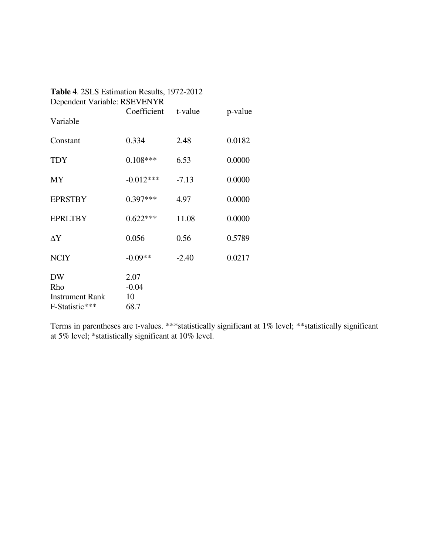| <b>Table 4. 2SLS Estimation Results, 1972-2012</b> |             |         |         |
|----------------------------------------------------|-------------|---------|---------|
| Dependent Variable: RSEVENYR                       | Coefficient | t-value | p-value |
| Variable                                           |             |         |         |
| Constant                                           | 0.334       | 2.48    | 0.0182  |
| <b>TDY</b>                                         | $0.108***$  | 6.53    | 0.0000  |
| <b>MY</b>                                          | $-0.012***$ | $-7.13$ | 0.0000  |
| <b>EPRSTBY</b>                                     | $0.397***$  | 4.97    | 0.0000  |
| <b>EPRLTBY</b>                                     | $0.622***$  | 11.08   | 0.0000  |
| $\Delta Y$                                         | 0.056       | 0.56    | 0.5789  |
| <b>NCIY</b>                                        | $-0.09**$   | $-2.40$ | 0.0217  |
| <b>DW</b>                                          | 2.07        |         |         |
| Rho                                                | $-0.04$     |         |         |
| <b>Instrument Rank</b>                             | 10          |         |         |
| F-Statistic***                                     | 68.7        |         |         |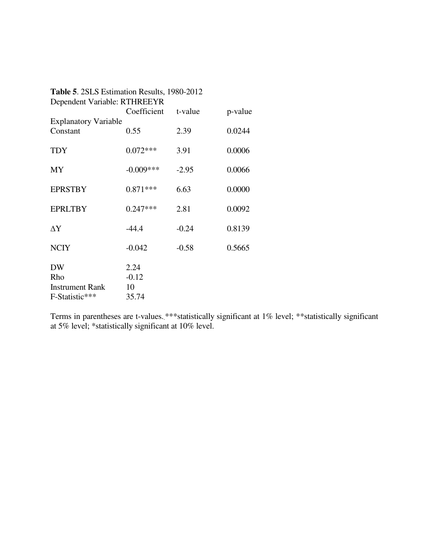| Table 5. 2SLS Estimation Results, 1980-2012 |                              |         |         |  |  |
|---------------------------------------------|------------------------------|---------|---------|--|--|
|                                             | Dependent Variable: RTHREEYR |         |         |  |  |
|                                             | Coefficient                  | t-value | p-value |  |  |
| <b>Explanatory Variable</b>                 |                              |         |         |  |  |
| Constant                                    | 0.55                         | 2.39    | 0.0244  |  |  |
| TDY                                         | $0.072***$                   | 3.91    | 0.0006  |  |  |
| <b>MY</b>                                   | $-0.009***$                  | $-2.95$ | 0.0066  |  |  |
| <b>EPRSTBY</b>                              | $0.871***$                   | 6.63    | 0.0000  |  |  |
| <b>EPRLTBY</b>                              | $0.247***$                   | 2.81    | 0.0092  |  |  |
| ΔY                                          | $-44.4$                      | $-0.24$ | 0.8139  |  |  |
| <b>NCIY</b>                                 | $-0.042$                     | $-0.58$ | 0.5665  |  |  |
| <b>DW</b>                                   | 2.24                         |         |         |  |  |
| Rho                                         | $-0.12$                      |         |         |  |  |
| <b>Instrument Rank</b>                      | 10                           |         |         |  |  |
| F-Statistic***                              | 35.74                        |         |         |  |  |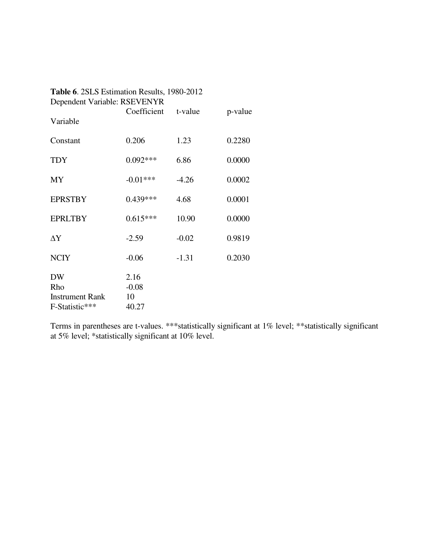| Table 6. 2SLS Estimation Results, 1980-2012 |                       |         |         |
|---------------------------------------------|-----------------------|---------|---------|
| Dependent Variable: RSEVENYR                | Coefficient           | t-value | p-value |
| Variable                                    |                       |         |         |
| Constant                                    | 0.206                 | 1.23    | 0.2280  |
| <b>TDY</b>                                  | $0.092***$            | 6.86    | 0.0000  |
| MY                                          | $-0.01***$            | $-4.26$ | 0.0002  |
| <b>EPRSTBY</b>                              | $0.439***$            | 4.68    | 0.0001  |
| <b>EPRLTBY</b>                              | $0.615***$            | 10.90   | 0.0000  |
| $\Delta Y$                                  | $-2.59$               | $-0.02$ | 0.9819  |
| <b>NCIY</b>                                 | $-0.06$               | $-1.31$ | 0.2030  |
| <b>DW</b><br>Rho<br><b>Instrument Rank</b>  | 2.16<br>$-0.08$<br>10 |         |         |
| F-Statistic***                              | 40.27                 |         |         |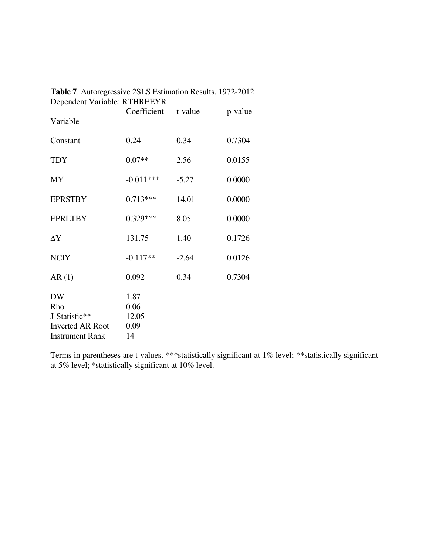| Dependent Variable: RTHREEYR |              |         |         |
|------------------------------|--------------|---------|---------|
| Variable                     | Coefficient  | t-value | p-value |
| Constant                     | 0.24         | 0.34    | 0.7304  |
| <b>TDY</b>                   | $0.07**$     | 2.56    | 0.0155  |
| MY                           | $-0.011***$  | $-5.27$ | 0.0000  |
| <b>EPRSTBY</b>               | $0.713***$   | 14.01   | 0.0000  |
| <b>EPRLTBY</b>               | $0.329***$   | 8.05    | 0.0000  |
| $\Delta Y$                   | 131.75       | 1.40    | 0.1726  |
| <b>NCIY</b>                  | $-0.117**$   | $-2.64$ | 0.0126  |
| AR(1)                        | 0.092        | 0.34    | 0.7304  |
| <b>DW</b><br>Rho             | 1.87<br>0.06 |         |         |
| J-Statistic**                | 12.05        |         |         |
| <b>Inverted AR Root</b>      | 0.09         |         |         |
| <b>Instrument Rank</b>       | 14           |         |         |

| Table 7. Autoregressive 2SLS Estimation Results, 1972-2012 |  |
|------------------------------------------------------------|--|
| Dependent Variable: RTHREEYR                               |  |